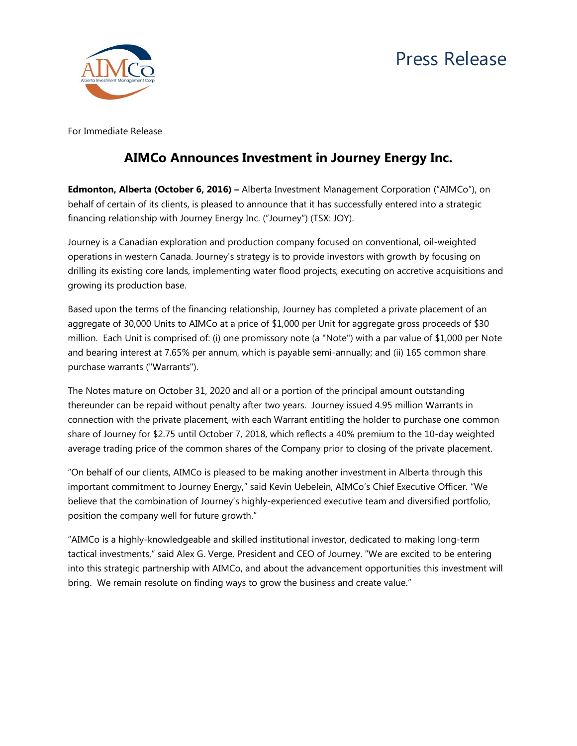# Press Release



For Immediate Release

## **AIMCo Announces Investment in Journey Energy Inc.**

**Edmonton, Alberta (October 6, 2016) –** Alberta Investment Management Corporation ("AIMCo"), on behalf of certain of its clients, is pleased to announce that it has successfully entered into a strategic financing relationship with Journey Energy Inc. ("Journey") (TSX: JOY).

Journey is a Canadian exploration and production company focused on conventional, oil-weighted operations in western Canada. Journey's strategy is to provide investors with growth by focusing on drilling its existing core lands, implementing water flood projects, executing on accretive acquisitions and growing its production base.

Based upon the terms of the financing relationship, Journey has completed a private placement of an aggregate of 30,000 Units to AIMCo at a price of \$1,000 per Unit for aggregate gross proceeds of \$30 million. Each Unit is comprised of: (i) one promissory note (a "Note") with a par value of \$1,000 per Note and bearing interest at 7.65% per annum, which is payable semi-annually; and (ii) 165 common share purchase warrants ("Warrants").

The Notes mature on October 31, 2020 and all or a portion of the principal amount outstanding thereunder can be repaid without penalty after two years. Journey issued 4.95 million Warrants in connection with the private placement, with each Warrant entitling the holder to purchase one common share of Journey for \$2.75 until October 7, 2018, which reflects a 40% premium to the 10-day weighted average trading price of the common shares of the Company prior to closing of the private placement.

"On behalf of our clients, AIMCo is pleased to be making another investment in Alberta through this important commitment to Journey Energy," said Kevin Uebelein, AIMCo's Chief Executive Officer. "We believe that the combination of Journey's highly-experienced executive team and diversified portfolio, position the company well for future growth."

"AIMCo is a highly-knowledgeable and skilled institutional investor, dedicated to making long-term tactical investments," said Alex G. Verge, President and CEO of Journey. "We are excited to be entering into this strategic partnership with AIMCo, and about the advancement opportunities this investment will bring. We remain resolute on finding ways to grow the business and create value."